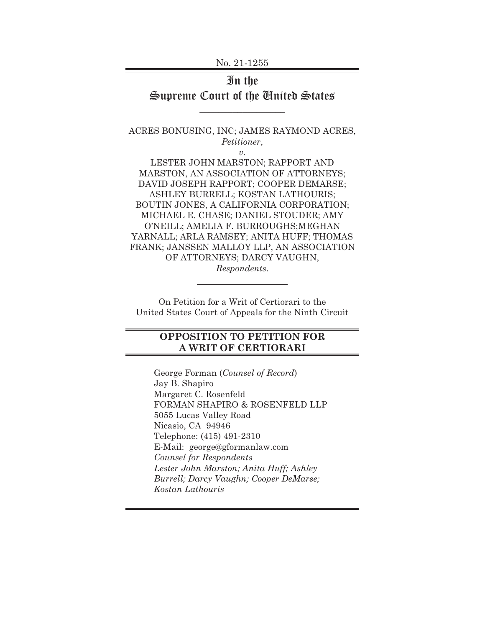No. 21-1255

# In the Supreme Court of the United States

ACRES BONUSING, INC; JAMES RAYMOND ACRES, *Petitioner*,

*v.* LESTER JOHN MARSTON; RAPPORT AND MARSTON, AN ASSOCIATION OF ATTORNEYS; DAVID JOSEPH RAPPORT; COOPER DEMARSE; ASHLEY BURRELL; KOSTAN LATHOURIS; BOUTIN JONES, A CALIFORNIA CORPORATION; MICHAEL E. CHASE; DANIEL STOUDER; AMY O'NEILL; AMELIA F. BURROUGHS;MEGHAN YARNALL; ARLA RAMSEY; ANITA HUFF; THOMAS FRANK; JANSSEN MALLOY LLP, AN ASSOCIATION OF ATTORNEYS; DARCY VAUGHN, *Respondents*.

On Petition for a Writ of Certiorari to the United States Court of Appeals for the Ninth Circuit

 $\overline{a}$ 

### **OPPOSITION TO PETITION FOR A WRIT OF CERTIORARI**

George Forman (*Counsel of Record*) Jay B. Shapiro Margaret C. Rosenfeld FORMAN SHAPIRO & ROSENFELD LLP 5055 Lucas Valley Road Nicasio, CA 94946 Telephone: (415) 491-2310 E-Mail: george@gformanlaw.com *Counsel for Respondents Lester John Marston; Anita Huff; Ashley Burrell; Darcy Vaughn; Cooper DeMarse; Kostan Lathouris*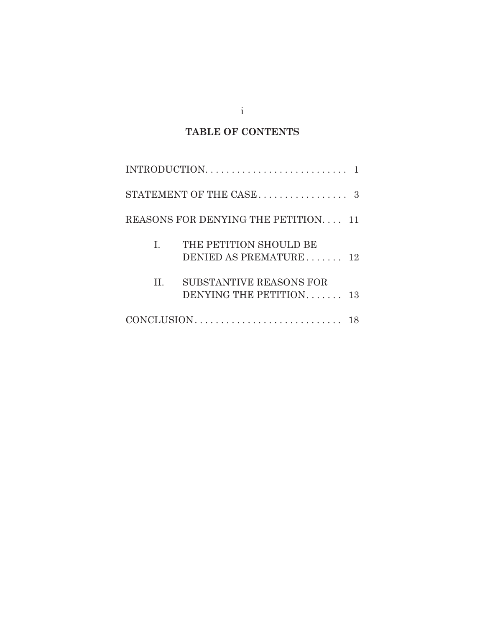## i

## **TABLE OF CONTENTS**

| REASONS FOR DENYING THE PETITION 11                          |    |
|--------------------------------------------------------------|----|
| THE PETITION SHOULD BE<br>L.<br>DENIED AS PREMATURE          | 12 |
| <b>SUBSTANTIVE REASONS FOR</b><br>H.<br>DENYING THE PETITION | 13 |
|                                                              |    |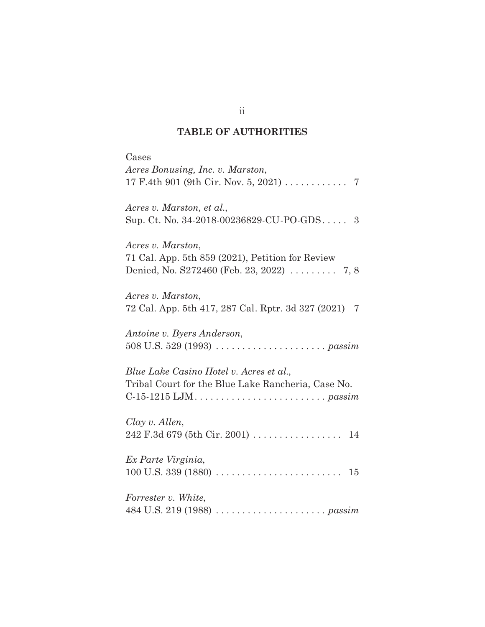#### **TABLE OF AUTHORITIES**

Cases *Acres Bonusing, Inc. v. Marston*, 17 F.4th 901 (9th Cir. Nov. 5, 2021) ............ 7 *Acres v. Marston, et al.*, Sup. Ct. No. 34-2018-00236829-CU-PO-GDS..... 3 *Acres v. Marston*, 71 Cal. App. 5th 859 (2021), Petition for Review Denied, No. S272460 (Feb. 23, 2022) . . . . . . . . . 7, 8 *Acres v. Marston*, 72 Cal. App. 5th 417, 287 Cal. Rptr. 3d 327 (2021) 7 *Antoine v. Byers Anderson*, 508 U.S. 529 (1993) ..................... *passim Blue Lake Casino Hotel v. Acres et al.*, Tribal Court for the Blue Lake Rancheria, Case No. C-15-1215 LJM......................... *passim Clay v. Allen*, 242 F.3d 679 (5th Cir. 2001) . . . . . . . . . . . . . . . . . 14 *Ex Parte Virginia*, 100 U.S. 339 (1880) . . . . . . . . . . . . . . . . . . . . . . . . 15 *Forrester v. White*, 484 U.S. 219 (1988) ..................... *passim*

#### ii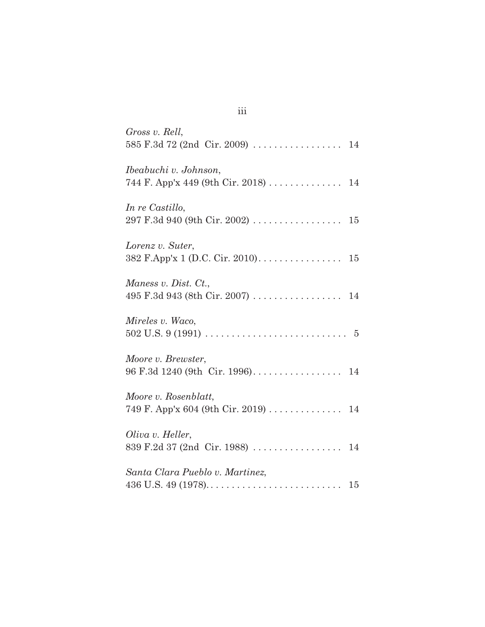| Gross v. Rell,<br>585 F.3d 72 (2nd Cir. 2009)  14            |  |
|--------------------------------------------------------------|--|
| Ibeabuchi v. Johnson,<br>744 F. App'x 449 (9th Cir. 2018) 14 |  |
| In re Castillo,                                              |  |
| Lorenz v. Suter,                                             |  |
| Maness v. Dist. Ct.,<br>495 F.3d 943 (8th Cir. 2007)  14     |  |
| Mireles v. Waco,                                             |  |
| Moore v. Brewster,                                           |  |
| Moore v. Rosenblatt,<br>749 F. App'x 604 (9th Cir. 2019)  14 |  |
| Oliva v. Heller,<br>839 F.2d 37 (2nd Cir. 1988)  14          |  |
| Santa Clara Pueblo v. Martinez,                              |  |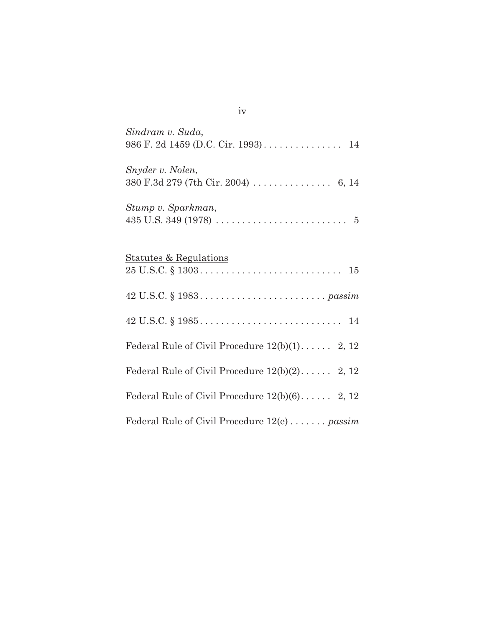| Sindram v. Suda,                                                                                                              |
|-------------------------------------------------------------------------------------------------------------------------------|
| Snyder v. Nolen,                                                                                                              |
| Stump v. Sparkman,                                                                                                            |
| Statutes & Regulations<br>$25 \text{ U.S.C.} \S 1303 \ldots \ldots \ldots \ldots \ldots \ldots \ldots \ldots \ldots \quad 15$ |
|                                                                                                                               |
| $42 \text{ U.S.C.} \S 1985 \ldots \ldots \ldots \ldots \ldots \ldots \ldots \ldots \ldots \quad 14$                           |
| Federal Rule of Civil Procedure $12(b)(1)$ 2, 12                                                                              |
| Federal Rule of Civil Procedure $12(b)(2)$ 2, 12                                                                              |
| Federal Rule of Civil Procedure $12(b)(6)$ 2, 12                                                                              |
| Federal Rule of Civil Procedure 12(e)  passim                                                                                 |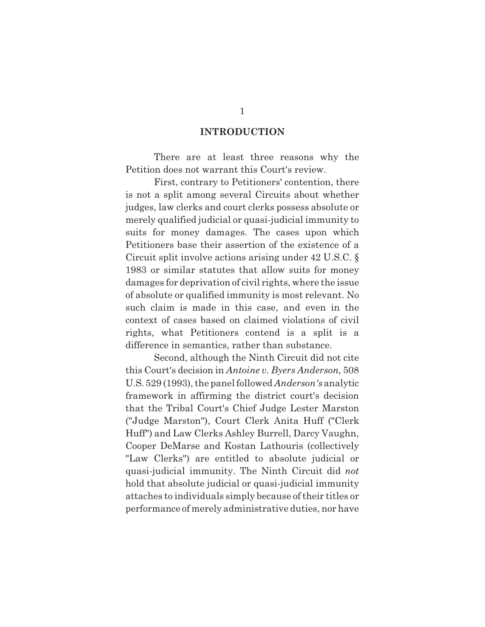#### **INTRODUCTION**

There are at least three reasons why the Petition does not warrant this Court's review.

First, contrary to Petitioners' contention, there is not a split among several Circuits about whether judges, law clerks and court clerks possess absolute or merely qualified judicial or quasi-judicial immunity to suits for money damages. The cases upon which Petitioners base their assertion of the existence of a Circuit split involve actions arising under 42 U.S.C. § 1983 or similar statutes that allow suits for money damages for deprivation of civil rights, where the issue of absolute or qualified immunity is most relevant. No such claim is made in this case, and even in the context of cases based on claimed violations of civil rights, what Petitioners contend is a split is a difference in semantics, rather than substance.

Second, although the Ninth Circuit did not cite this Court's decision in *Antoine v. Byers Anderson*, 508 U.S. 529 (1993), the panel followed *Anderson's* analytic framework in affirming the district court's decision that the Tribal Court's Chief Judge Lester Marston ("Judge Marston"), Court Clerk Anita Huff ("Clerk Huff") and Law Clerks Ashley Burrell, Darcy Vaughn, Cooper DeMarse and Kostan Lathouris (collectively "Law Clerks") are entitled to absolute judicial or quasi-judicial immunity. The Ninth Circuit did *not* hold that absolute judicial or quasi-judicial immunity attaches to individuals simply because of their titles or performance of merely administrative duties, nor have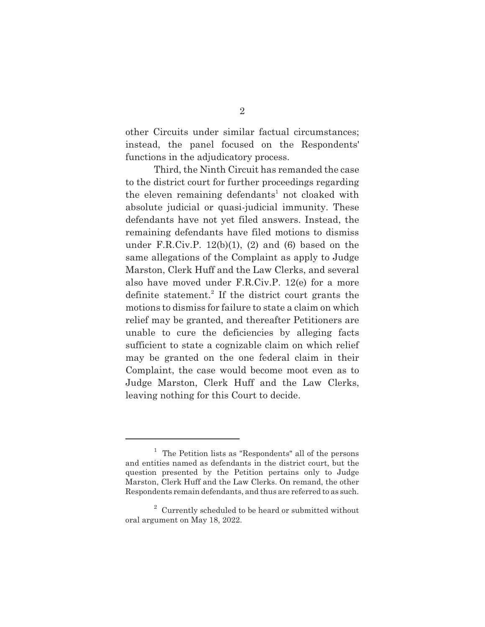other Circuits under similar factual circumstances; instead, the panel focused on the Respondents' functions in the adjudicatory process.

Third, the Ninth Circuit has remanded the case to the district court for further proceedings regarding the eleven remaining defendants<sup>1</sup> not cloaked with absolute judicial or quasi-judicial immunity. These defendants have not yet filed answers. Instead, the remaining defendants have filed motions to dismiss under F.R.Civ.P.  $12(b)(1)$ ,  $(2)$  and  $(6)$  based on the same allegations of the Complaint as apply to Judge Marston, Clerk Huff and the Law Clerks, and several also have moved under F.R.Civ.P. 12(e) for a more definite statement.<sup>2</sup> If the district court grants the motions to dismiss for failure to state a claim on which relief may be granted, and thereafter Petitioners are unable to cure the deficiencies by alleging facts sufficient to state a cognizable claim on which relief may be granted on the one federal claim in their Complaint, the case would become moot even as to Judge Marston, Clerk Huff and the Law Clerks, leaving nothing for this Court to decide.

<sup>&</sup>lt;sup>1</sup> The Petition lists as "Respondents" all of the persons and entities named as defendants in the district court, but the question presented by the Petition pertains only to Judge Marston, Clerk Huff and the Law Clerks. On remand, the other Respondents remain defendants, and thus are referred to as such.

 $2$  Currently scheduled to be heard or submitted without oral argument on May 18, 2022.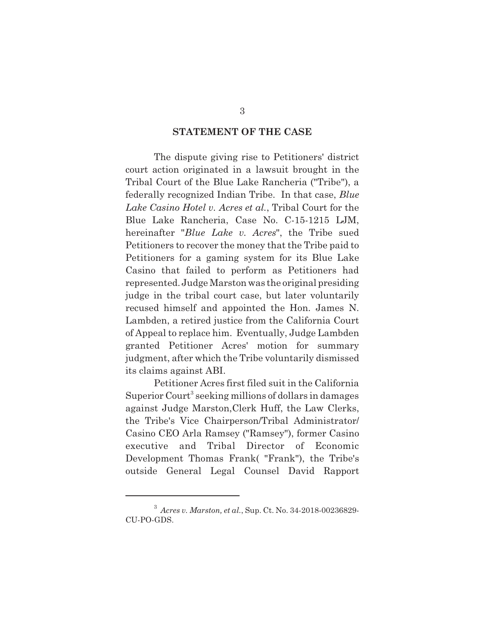#### **STATEMENT OF THE CASE**

The dispute giving rise to Petitioners' district court action originated in a lawsuit brought in the Tribal Court of the Blue Lake Rancheria ("Tribe"), a federally recognized Indian Tribe. In that case, *Blue Lake Casino Hotel v. Acres et al.*, Tribal Court for the Blue Lake Rancheria, Case No. C-15-1215 LJM, hereinafter "*Blue Lake v. Acres*", the Tribe sued Petitioners to recover the money that the Tribe paid to Petitioners for a gaming system for its Blue Lake Casino that failed to perform as Petitioners had represented. Judge Marston was the original presiding judge in the tribal court case, but later voluntarily recused himself and appointed the Hon. James N. Lambden, a retired justice from the California Court of Appeal to replace him. Eventually, Judge Lambden granted Petitioner Acres' motion for summary judgment, after which the Tribe voluntarily dismissed its claims against ABI.

Petitioner Acres first filed suit in the California Superior Court<sup>3</sup> seeking millions of dollars in damages against Judge Marston,Clerk Huff, the Law Clerks, the Tribe's Vice Chairperson/Tribal Administrator/ Casino CEO Arla Ramsey ("Ramsey"), former Casino executive and Tribal Director of Economic Development Thomas Frank( "Frank"), the Tribe's outside General Legal Counsel David Rapport

<sup>3</sup> *Acres v. Marston, et al.*, Sup. Ct. No. 34-2018-00236829- CU-PO-GDS.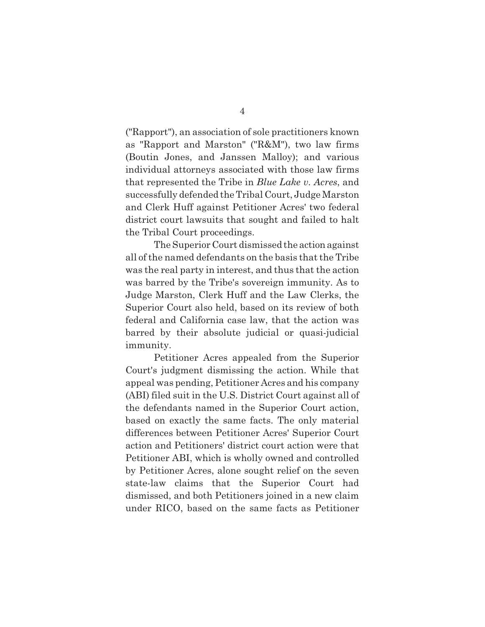("Rapport"), an association of sole practitioners known as "Rapport and Marston" ("R&M"), two law firms (Boutin Jones, and Janssen Malloy); and various individual attorneys associated with those law firms that represented the Tribe in *Blue Lake v. Acres*, and successfully defended the Tribal Court, Judge Marston and Clerk Huff against Petitioner Acres' two federal district court lawsuits that sought and failed to halt the Tribal Court proceedings.

The Superior Court dismissed the action against all of the named defendants on the basis that the Tribe was the real party in interest, and thus that the action was barred by the Tribe's sovereign immunity. As to Judge Marston, Clerk Huff and the Law Clerks, the Superior Court also held, based on its review of both federal and California case law, that the action was barred by their absolute judicial or quasi-judicial immunity.

Petitioner Acres appealed from the Superior Court's judgment dismissing the action. While that appeal was pending, Petitioner Acres and his company (ABI) filed suit in the U.S. District Court against all of the defendants named in the Superior Court action, based on exactly the same facts. The only material differences between Petitioner Acres' Superior Court action and Petitioners' district court action were that Petitioner ABI, which is wholly owned and controlled by Petitioner Acres, alone sought relief on the seven state-law claims that the Superior Court had dismissed, and both Petitioners joined in a new claim under RICO, based on the same facts as Petitioner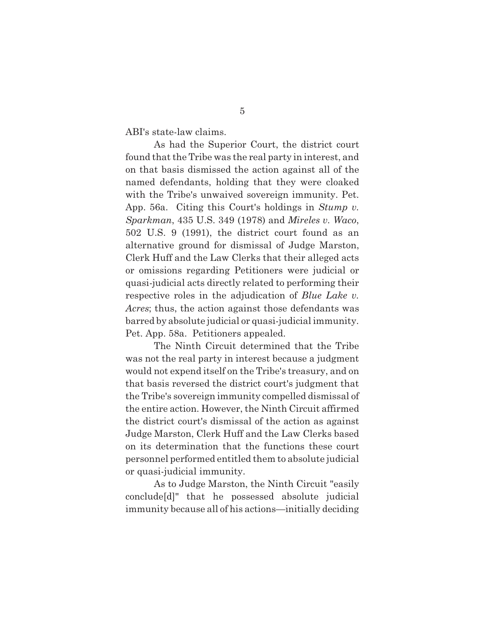ABI's state-law claims.

As had the Superior Court, the district court found that the Tribe was the real party in interest, and on that basis dismissed the action against all of the named defendants, holding that they were cloaked with the Tribe's unwaived sovereign immunity. Pet. App. 56a. Citing this Court's holdings in *Stump v. Sparkman*, 435 U.S. 349 (1978) and *Mireles v. Waco*, 502 U.S. 9 (1991), the district court found as an alternative ground for dismissal of Judge Marston, Clerk Huff and the Law Clerks that their alleged acts or omissions regarding Petitioners were judicial or quasi-judicial acts directly related to performing their respective roles in the adjudication of *Blue Lake v. Acres*; thus, the action against those defendants was barred by absolute judicial or quasi-judicial immunity. Pet. App. 58a. Petitioners appealed.

The Ninth Circuit determined that the Tribe was not the real party in interest because a judgment would not expend itself on the Tribe's treasury, and on that basis reversed the district court's judgment that the Tribe's sovereign immunity compelled dismissal of the entire action. However, the Ninth Circuit affirmed the district court's dismissal of the action as against Judge Marston, Clerk Huff and the Law Clerks based on its determination that the functions these court personnel performed entitled them to absolute judicial or quasi-judicial immunity.

As to Judge Marston, the Ninth Circuit "easily conclude[d]" that he possessed absolute judicial immunity because all of his actions—initially deciding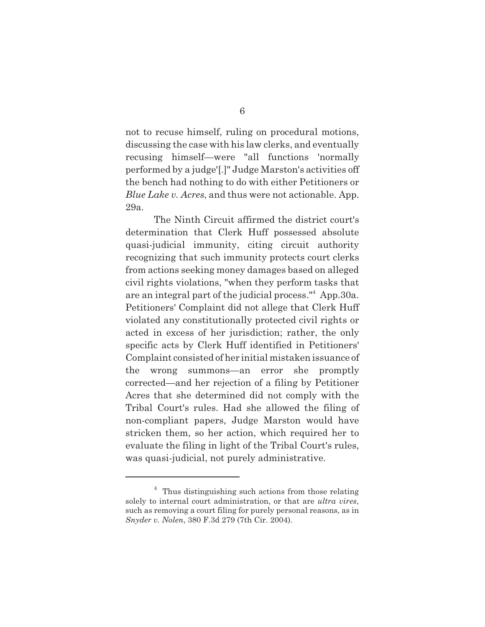not to recuse himself, ruling on procedural motions, discussing the case with his law clerks, and eventually recusing himself—were "all functions 'normally performed by a judge'[.]" Judge Marston's activities off the bench had nothing to do with either Petitioners or *Blue Lake v. Acres*, and thus were not actionable. App. 29a.

The Ninth Circuit affirmed the district court's determination that Clerk Huff possessed absolute quasi-judicial immunity, citing circuit authority recognizing that such immunity protects court clerks from actions seeking money damages based on alleged civil rights violations, "when they perform tasks that are an integral part of the judicial process."4 App.30a. Petitioners' Complaint did not allege that Clerk Huff violated any constitutionally protected civil rights or acted in excess of her jurisdiction; rather, the only specific acts by Clerk Huff identified in Petitioners' Complaint consisted of her initial mistaken issuance of the wrong summons—an error she promptly corrected—and her rejection of a filing by Petitioner Acres that she determined did not comply with the Tribal Court's rules. Had she allowed the filing of non-compliant papers, Judge Marston would have stricken them, so her action, which required her to evaluate the filing in light of the Tribal Court's rules, was quasi-judicial, not purely administrative.

<sup>&</sup>lt;sup>4</sup> Thus distinguishing such actions from those relating solely to internal court administration, or that are *ultra vires*, such as removing a court filing for purely personal reasons, as in *Snyder v. Nolen*, 380 F.3d 279 (7th Cir. 2004).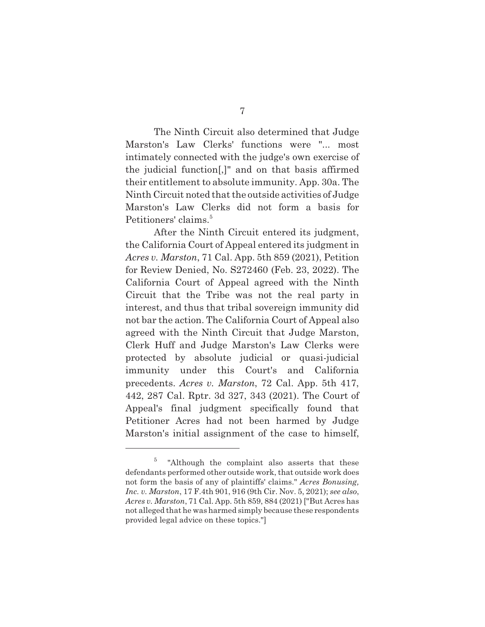The Ninth Circuit also determined that Judge Marston's Law Clerks' functions were "... most intimately connected with the judge's own exercise of the judicial function[,]" and on that basis affirmed their entitlement to absolute immunity. App. 30a. The Ninth Circuit noted that the outside activities of Judge Marston's Law Clerks did not form a basis for Petitioners' claims.<sup>5</sup>

After the Ninth Circuit entered its judgment, the California Court of Appeal entered its judgment in *Acres v. Marston*, 71 Cal. App. 5th 859 (2021), Petition for Review Denied, No. S272460 (Feb. 23, 2022). The California Court of Appeal agreed with the Ninth Circuit that the Tribe was not the real party in interest, and thus that tribal sovereign immunity did not bar the action. The California Court of Appeal also agreed with the Ninth Circuit that Judge Marston, Clerk Huff and Judge Marston's Law Clerks were protected by absolute judicial or quasi-judicial immunity under this Court's and California precedents. *Acres v. Marston*, 72 Cal. App. 5th 417, 442, 287 Cal. Rptr. 3d 327, 343 (2021). The Court of Appeal's final judgment specifically found that Petitioner Acres had not been harmed by Judge Marston's initial assignment of the case to himself,

<sup>5</sup> "Although the complaint also asserts that these defendants performed other outside work, that outside work does not form the basis of any of plaintiffs' claims." *Acres Bonusing, Inc. v. Marston*, 17 F.4th 901, 916 (9th Cir. Nov. 5, 2021); *see also*, *Acres v. Marston*, 71 Cal. App. 5th 859, 884 (2021) ["But Acres has not alleged that he was harmed simply because these respondents provided legal advice on these topics."]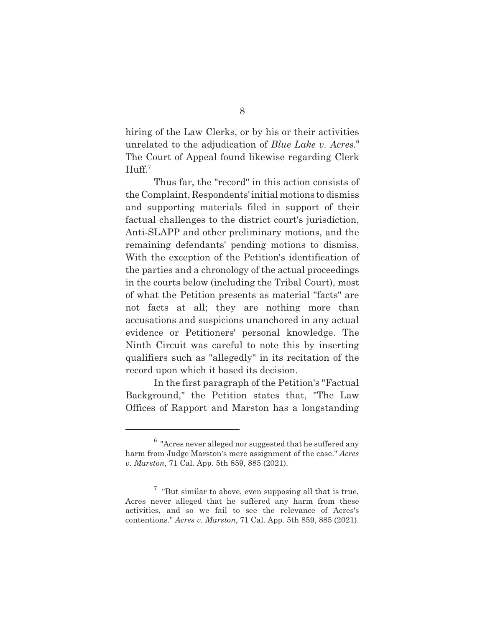hiring of the Law Clerks, or by his or their activities unrelated to the adjudication of *Blue Lake v. Acres*. 6 The Court of Appeal found likewise regarding Clerk Huff.<sup>7</sup>

Thus far, the "record" in this action consists of the Complaint, Respondents' initial motions to dismiss and supporting materials filed in support of their factual challenges to the district court's jurisdiction, Anti-SLAPP and other preliminary motions, and the remaining defendants' pending motions to dismiss. With the exception of the Petition's identification of the parties and a chronology of the actual proceedings in the courts below (including the Tribal Court), most of what the Petition presents as material "facts" are not facts at all; they are nothing more than accusations and suspicions unanchored in any actual evidence or Petitioners' personal knowledge. The Ninth Circuit was careful to note this by inserting qualifiers such as "allegedly" in its recitation of the record upon which it based its decision.

In the first paragraph of the Petition's "Factual Background," the Petition states that, "The Law Offices of Rapport and Marston has a longstanding

 $^6$  "Acres never alleged nor suggested that he suffered any harm from Judge Marston's mere assignment of the case." *Acres v. Marston*, 71 Cal. App. 5th 859, 885 (2021).

 $7$  "But similar to above, even supposing all that is true, Acres never alleged that he suffered any harm from these activities, and so we fail to see the relevance of Acres's contentions." *Acres v. Marston*, 71 Cal. App. 5th 859, 885 (2021).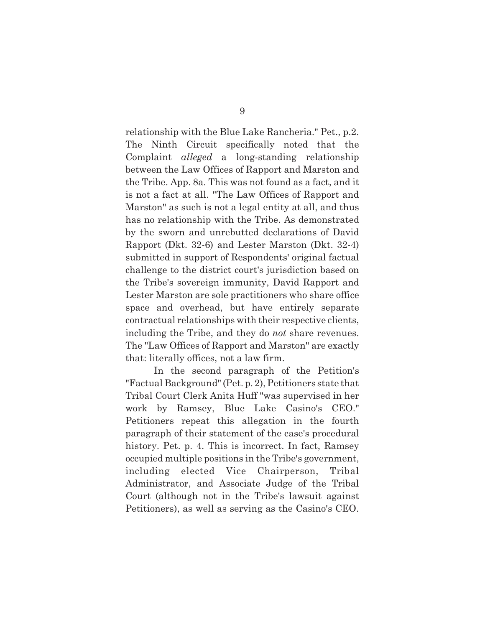relationship with the Blue Lake Rancheria." Pet., p.2. The Ninth Circuit specifically noted that the Complaint *alleged* a long-standing relationship between the Law Offices of Rapport and Marston and the Tribe. App. 8a. This was not found as a fact, and it is not a fact at all. "The Law Offices of Rapport and Marston" as such is not a legal entity at all, and thus has no relationship with the Tribe. As demonstrated by the sworn and unrebutted declarations of David Rapport (Dkt. 32-6) and Lester Marston (Dkt. 32-4) submitted in support of Respondents' original factual challenge to the district court's jurisdiction based on the Tribe's sovereign immunity, David Rapport and Lester Marston are sole practitioners who share office space and overhead, but have entirely separate contractual relationships with their respective clients, including the Tribe, and they do *not* share revenues. The "Law Offices of Rapport and Marston" are exactly that: literally offices, not a law firm.

In the second paragraph of the Petition's "Factual Background" (Pet. p. 2), Petitioners state that Tribal Court Clerk Anita Huff "was supervised in her work by Ramsey, Blue Lake Casino's CEO." Petitioners repeat this allegation in the fourth paragraph of their statement of the case's procedural history. Pet. p. 4. This is incorrect. In fact, Ramsey occupied multiple positions in the Tribe's government, including elected Vice Chairperson, Tribal Administrator, and Associate Judge of the Tribal Court (although not in the Tribe's lawsuit against Petitioners), as well as serving as the Casino's CEO.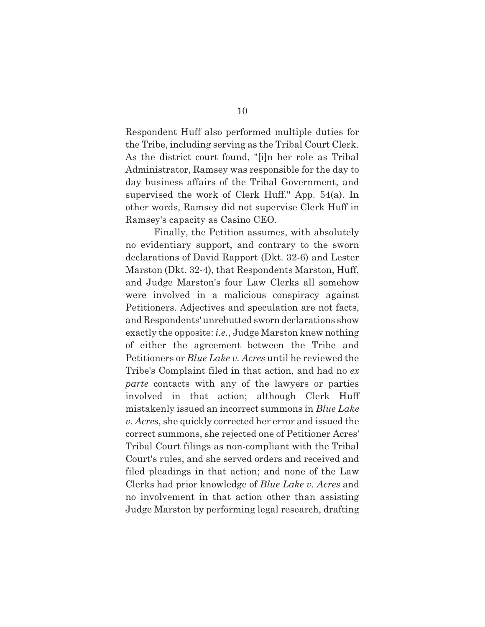Respondent Huff also performed multiple duties for the Tribe, including serving as the Tribal Court Clerk. As the district court found, "[i]n her role as Tribal Administrator, Ramsey was responsible for the day to day business affairs of the Tribal Government, and supervised the work of Clerk Huff." App. 54(a). In other words, Ramsey did not supervise Clerk Huff in Ramsey's capacity as Casino CEO.

Finally, the Petition assumes, with absolutely no evidentiary support, and contrary to the sworn declarations of David Rapport (Dkt. 32-6) and Lester Marston (Dkt. 32-4), that Respondents Marston, Huff, and Judge Marston's four Law Clerks all somehow were involved in a malicious conspiracy against Petitioners. Adjectives and speculation are not facts, and Respondents' unrebutted sworn declarations show exactly the opposite: *i.e.*, Judge Marston knew nothing of either the agreement between the Tribe and Petitioners or *Blue Lake v. Acres* until he reviewed the Tribe's Complaint filed in that action, and had no *ex parte* contacts with any of the lawyers or parties involved in that action; although Clerk Huff mistakenly issued an incorrect summons in *Blue Lake v. Acres*, she quickly corrected her error and issued the correct summons, she rejected one of Petitioner Acres' Tribal Court filings as non-compliant with the Tribal Court's rules, and she served orders and received and filed pleadings in that action; and none of the Law Clerks had prior knowledge of *Blue Lake v. Acres* and no involvement in that action other than assisting Judge Marston by performing legal research, drafting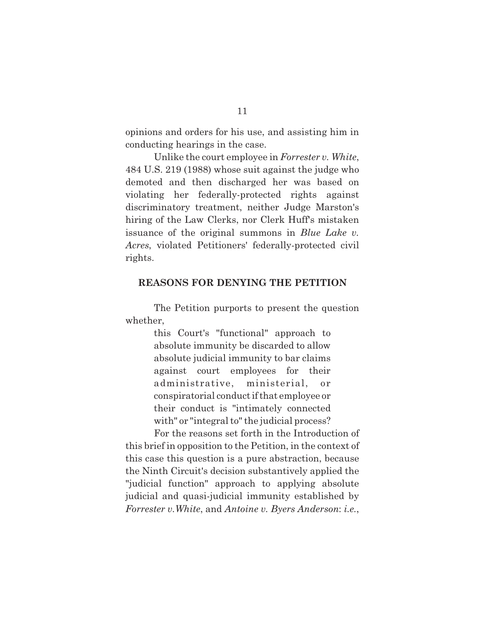opinions and orders for his use, and assisting him in conducting hearings in the case.

Unlike the court employee in *Forrester v. White*, 484 U.S. 219 (1988) whose suit against the judge who demoted and then discharged her was based on violating her federally-protected rights against discriminatory treatment, neither Judge Marston's hiring of the Law Clerks, nor Clerk Huff's mistaken issuance of the original summons in *Blue Lake v. Acres*, violated Petitioners' federally-protected civil rights.

#### **REASONS FOR DENYING THE PETITION**

The Petition purports to present the question whether,

> this Court's "functional" approach to absolute immunity be discarded to allow absolute judicial immunity to bar claims against court employees for their administrative, ministerial, or conspiratorial conduct if that employee or their conduct is "intimately connected with" or "integral to" the judicial process?

For the reasons set forth in the Introduction of this brief in opposition to the Petition, in the context of this case this question is a pure abstraction, because the Ninth Circuit's decision substantively applied the "judicial function" approach to applying absolute judicial and quasi-judicial immunity established by *Forrester v.White*, and *Antoine v. Byers Anderson*: *i.e.*,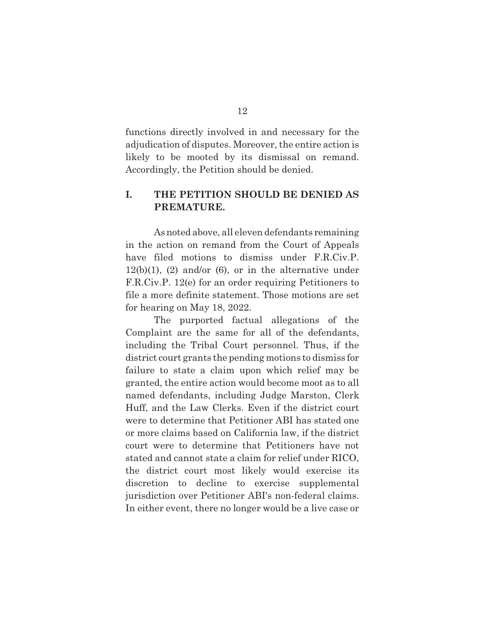functions directly involved in and necessary for the adjudication of disputes. Moreover, the entire action is likely to be mooted by its dismissal on remand. Accordingly, the Petition should be denied.

### **I. THE PETITION SHOULD BE DENIED AS PREMATURE.**

As noted above, all eleven defendants remaining in the action on remand from the Court of Appeals have filed motions to dismiss under F.R.Civ.P.  $12(b)(1)$ ,  $(2)$  and/or  $(6)$ , or in the alternative under F.R.Civ.P. 12(e) for an order requiring Petitioners to file a more definite statement. Those motions are set for hearing on May 18, 2022.

The purported factual allegations of the Complaint are the same for all of the defendants, including the Tribal Court personnel. Thus, if the district court grants the pending motions to dismiss for failure to state a claim upon which relief may be granted, the entire action would become moot as to all named defendants, including Judge Marston, Clerk Huff, and the Law Clerks. Even if the district court were to determine that Petitioner ABI has stated one or more claims based on California law, if the district court were to determine that Petitioners have not stated and cannot state a claim for relief under RICO, the district court most likely would exercise its discretion to decline to exercise supplemental jurisdiction over Petitioner ABI's non-federal claims. In either event, there no longer would be a live case or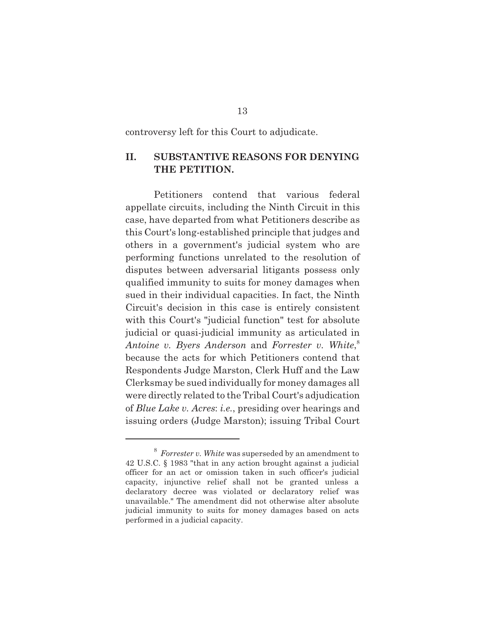controversy left for this Court to adjudicate.

## **II. SUBSTANTIVE REASONS FOR DENYING THE PETITION.**

Petitioners contend that various federal appellate circuits, including the Ninth Circuit in this case, have departed from what Petitioners describe as this Court's long-established principle that judges and others in a government's judicial system who are performing functions unrelated to the resolution of disputes between adversarial litigants possess only qualified immunity to suits for money damages when sued in their individual capacities. In fact, the Ninth Circuit's decision in this case is entirely consistent with this Court's "judicial function" test for absolute judicial or quasi-judicial immunity as articulated in *Antoine v. Byers Anderson* and *Forrester v. White*, 8 because the acts for which Petitioners contend that Respondents Judge Marston, Clerk Huff and the Law Clerksmay be sued individually for money damages all were directly related to the Tribal Court's adjudication of *Blue Lake v. Acres*: *i.e.*, presiding over hearings and issuing orders (Judge Marston); issuing Tribal Court

<sup>8</sup> *Forrester v. White* was superseded by an amendment to 42 U.S.C. § 1983 "that in any action brought against a judicial officer for an act or omission taken in such officer's judicial capacity, injunctive relief shall not be granted unless a declaratory decree was violated or declaratory relief was unavailable." The amendment did not otherwise alter absolute judicial immunity to suits for money damages based on acts performed in a judicial capacity.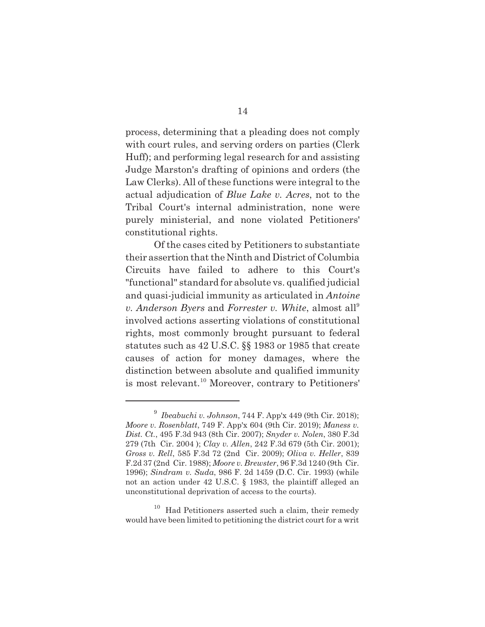process, determining that a pleading does not comply with court rules, and serving orders on parties (Clerk Huff); and performing legal research for and assisting Judge Marston's drafting of opinions and orders (the Law Clerks). All of these functions were integral to the actual adjudication of *Blue Lake v. Acres*, not to the Tribal Court's internal administration, none were purely ministerial, and none violated Petitioners' constitutional rights.

Of the cases cited by Petitioners to substantiate their assertion that the Ninth and District of Columbia Circuits have failed to adhere to this Court's "functional" standard for absolute vs. qualified judicial and quasi-judicial immunity as articulated in *Antoine v. Anderson Byers* and *Forrester v. White*, almost all<sup>9</sup> involved actions asserting violations of constitutional rights, most commonly brought pursuant to federal statutes such as 42 U.S.C. §§ 1983 or 1985 that create causes of action for money damages, where the distinction between absolute and qualified immunity is most relevant.<sup>10</sup> Moreover, contrary to Petitioners'

<sup>9</sup> *Ibeabuchi v. Johnson*, 744 F. App'x 449 (9th Cir. 2018); *Moore v. Rosenblatt*, 749 F. App'x 604 (9th Cir. 2019); *Maness v. Dist. Ct.*, 495 F.3d 943 (8th Cir. 2007); *Snyder v. Nolen*, 380 F.3d 279 (7th Cir. 2004 ); *Clay v. Allen*, 242 F.3d 679 (5th Cir. 2001); *Gross v. Rell*, 585 F.3d 72 (2nd Cir. 2009); *Oliva v. Heller*, 839 F.2d 37 (2nd Cir. 1988); *Moore v. Brewster*, 96 F.3d 1240 (9th Cir. 1996); *Sindram v. Suda*, 986 F. 2d 1459 (D.C. Cir. 1993) (while not an action under 42 U.S.C. § 1983, the plaintiff alleged an unconstitutional deprivation of access to the courts).

 $10$  Had Petitioners asserted such a claim, their remedy would have been limited to petitioning the district court for a writ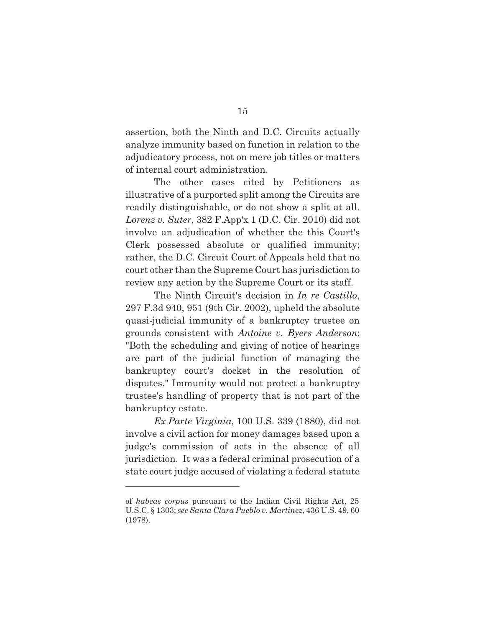assertion, both the Ninth and D.C. Circuits actually analyze immunity based on function in relation to the adjudicatory process, not on mere job titles or matters of internal court administration.

The other cases cited by Petitioners as illustrative of a purported split among the Circuits are readily distinguishable, or do not show a split at all. *Lorenz v. Suter*, 382 F.App'x 1 (D.C. Cir. 2010) did not involve an adjudication of whether the this Court's Clerk possessed absolute or qualified immunity; rather, the D.C. Circuit Court of Appeals held that no court other than the Supreme Court has jurisdiction to review any action by the Supreme Court or its staff.

The Ninth Circuit's decision in *In re Castillo*, 297 F.3d 940, 951 (9th Cir. 2002), upheld the absolute quasi-judicial immunity of a bankruptcy trustee on grounds consistent with *Antoine v. Byers Anderson*: "Both the scheduling and giving of notice of hearings are part of the judicial function of managing the bankruptcy court's docket in the resolution of disputes." Immunity would not protect a bankruptcy trustee's handling of property that is not part of the bankruptcy estate.

*Ex Parte Virginia*, 100 U.S. 339 (1880), did not involve a civil action for money damages based upon a judge's commission of acts in the absence of all jurisdiction. It was a federal criminal prosecution of a state court judge accused of violating a federal statute

of *habeas corpus* pursuant to the Indian Civil Rights Act, 25 U.S.C. § 1303; *see Santa Clara Pueblo v. Martinez*, 436 U.S. 49, 60 (1978).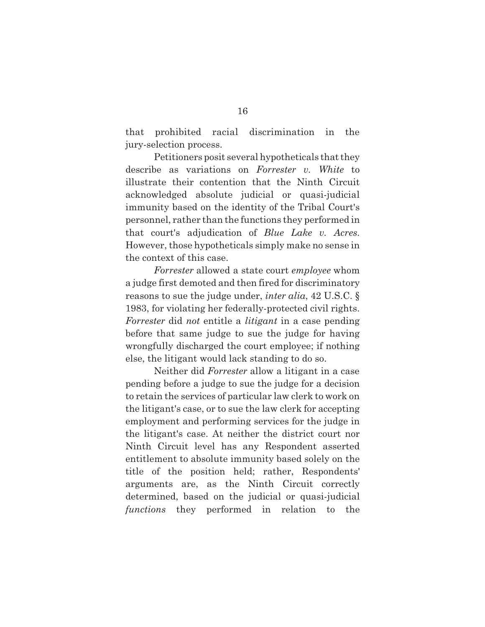that prohibited racial discrimination in the jury-selection process.

Petitioners posit several hypotheticals that they describe as variations on *Forrester v. White* to illustrate their contention that the Ninth Circuit acknowledged absolute judicial or quasi-judicial immunity based on the identity of the Tribal Court's personnel, rather than the functions they performed in that court's adjudication of *Blue Lake v. Acres*. However, those hypotheticals simply make no sense in the context of this case.

*Forrester* allowed a state court *employee* whom a judge first demoted and then fired for discriminatory reasons to sue the judge under, *inter alia*, 42 U.S.C. § 1983, for violating her federally-protected civil rights. *Forrester* did *not* entitle a *litigant* in a case pending before that same judge to sue the judge for having wrongfully discharged the court employee; if nothing else, the litigant would lack standing to do so.

Neither did *Forrester* allow a litigant in a case pending before a judge to sue the judge for a decision to retain the services of particular law clerk to work on the litigant's case, or to sue the law clerk for accepting employment and performing services for the judge in the litigant's case. At neither the district court nor Ninth Circuit level has any Respondent asserted entitlement to absolute immunity based solely on the title of the position held; rather, Respondents' arguments are, as the Ninth Circuit correctly determined, based on the judicial or quasi-judicial *functions* they performed in relation to the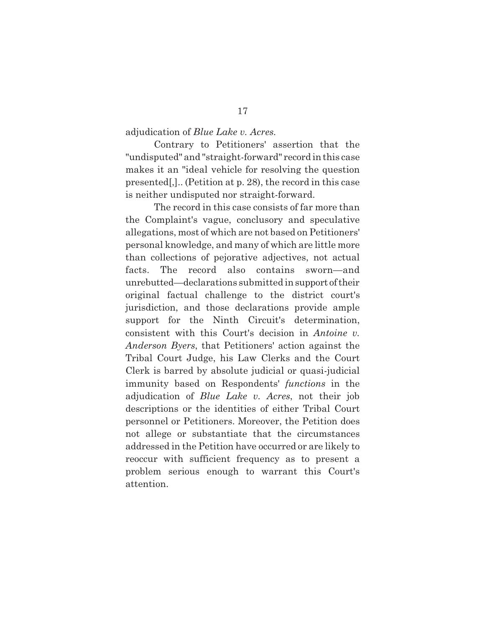adjudication of *Blue Lake v. Acres*.

Contrary to Petitioners' assertion that the "undisputed" and "straight-forward" record in this case makes it an "ideal vehicle for resolving the question presented[,].. (Petition at p. 28), the record in this case is neither undisputed nor straight-forward.

The record in this case consists of far more than the Complaint's vague, conclusory and speculative allegations, most of which are not based on Petitioners' personal knowledge, and many of which are little more than collections of pejorative adjectives, not actual facts. The record also contains sworn—and unrebutted—declarations submitted in support of their original factual challenge to the district court's jurisdiction, and those declarations provide ample support for the Ninth Circuit's determination, consistent with this Court's decision in *Antoine v. Anderson Byers*, that Petitioners' action against the Tribal Court Judge, his Law Clerks and the Court Clerk is barred by absolute judicial or quasi-judicial immunity based on Respondents' *functions* in the adjudication of *Blue Lake v. Acres*, not their job descriptions or the identities of either Tribal Court personnel or Petitioners. Moreover, the Petition does not allege or substantiate that the circumstances addressed in the Petition have occurred or are likely to reoccur with sufficient frequency as to present a problem serious enough to warrant this Court's attention.